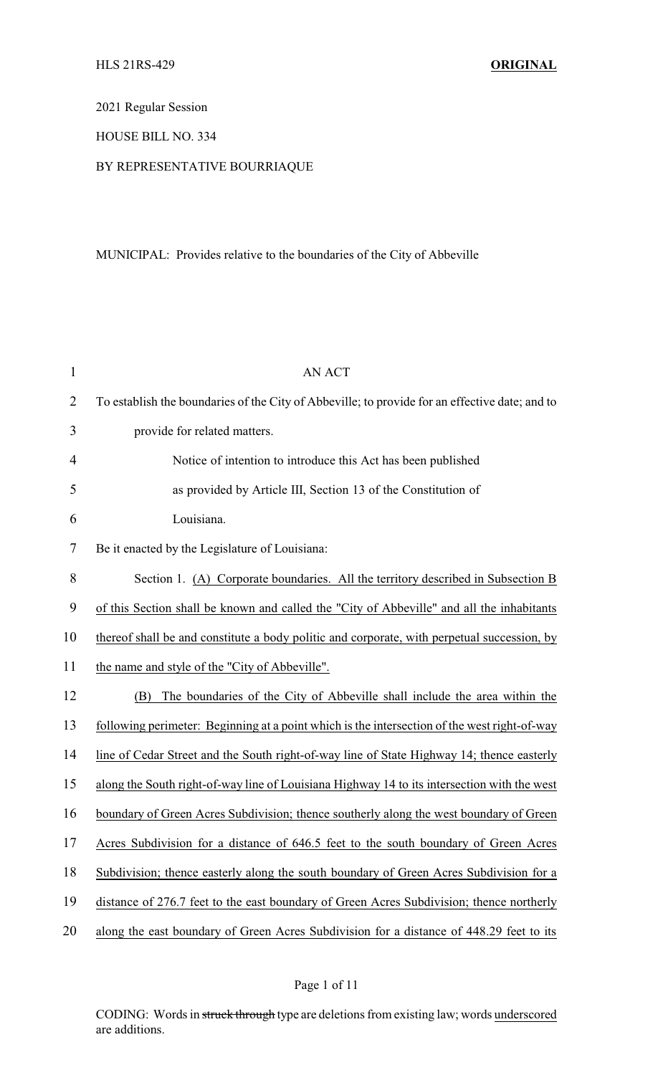2021 Regular Session

HOUSE BILL NO. 334

# BY REPRESENTATIVE BOURRIAQUE

# MUNICIPAL: Provides relative to the boundaries of the City of Abbeville

| $\mathbf{1}$   | <b>AN ACT</b>                                                                                  |
|----------------|------------------------------------------------------------------------------------------------|
| $\overline{2}$ | To establish the boundaries of the City of Abbeville; to provide for an effective date; and to |
| 3              | provide for related matters.                                                                   |
| 4              | Notice of intention to introduce this Act has been published                                   |
| 5              | as provided by Article III, Section 13 of the Constitution of                                  |
| 6              | Louisiana.                                                                                     |
| 7              | Be it enacted by the Legislature of Louisiana:                                                 |
| 8              | Section 1. (A) Corporate boundaries. All the territory described in Subsection B               |
| 9              | of this Section shall be known and called the "City of Abbeville" and all the inhabitants      |
| 10             | thereof shall be and constitute a body politic and corporate, with perpetual succession, by    |
| 11             | the name and style of the "City of Abbeville".                                                 |
| 12             | The boundaries of the City of Abbeville shall include the area within the<br>(B)               |
| 13             | following perimeter: Beginning at a point which is the intersection of the west right-of-way   |
| 14             | line of Cedar Street and the South right-of-way line of State Highway 14; thence easterly      |
| 15             | along the South right-of-way line of Louisiana Highway 14 to its intersection with the west    |
| 16             | boundary of Green Acres Subdivision; thence southerly along the west boundary of Green         |
| 17             | Acres Subdivision for a distance of 646.5 feet to the south boundary of Green Acres            |
| 18             | Subdivision; thence easterly along the south boundary of Green Acres Subdivision for a         |
| 19             | distance of 276.7 feet to the east boundary of Green Acres Subdivision; thence northerly       |
| 20             | along the east boundary of Green Acres Subdivision for a distance of 448.29 feet to its        |
|                |                                                                                                |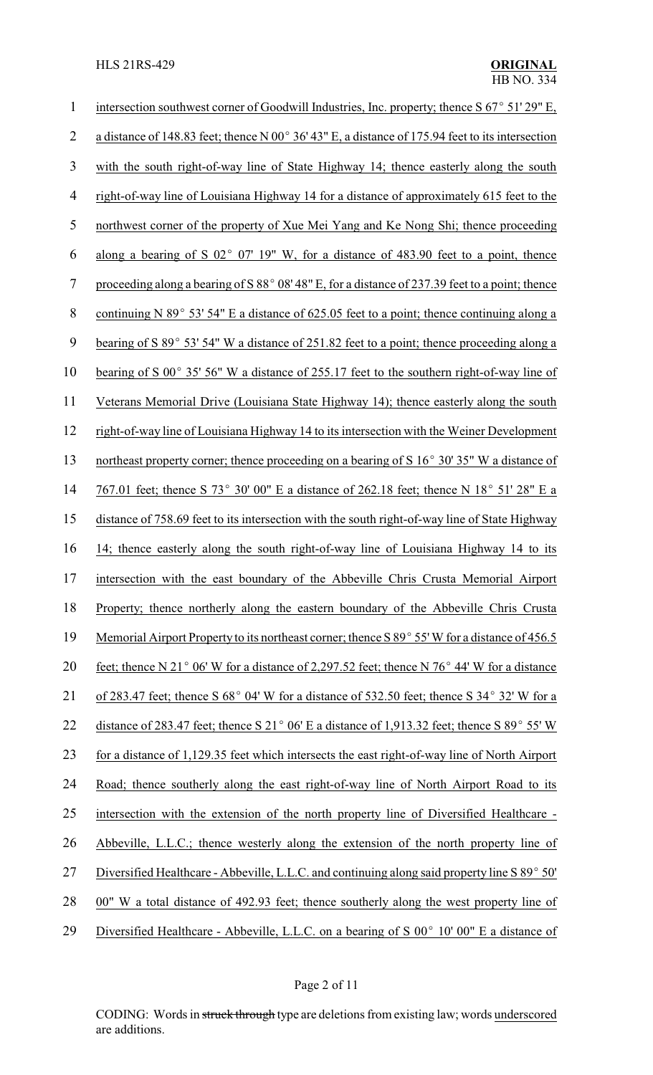| $\mathbf 1$    | intersection southwest corner of Goodwill Industries, Inc. property; thence $S$ 67 $\degree$ 51' 29" E,         |
|----------------|-----------------------------------------------------------------------------------------------------------------|
| $\overline{2}$ | a distance of 148.83 feet; thence N 00 $^{\circ}$ 36' 43" E, a distance of 175.94 feet to its intersection      |
| 3              | with the south right-of-way line of State Highway 14; thence easterly along the south                           |
| $\overline{4}$ | right-of-way line of Louisiana Highway 14 for a distance of approximately 615 feet to the                       |
| 5              | northwest corner of the property of Xue Mei Yang and Ke Nong Shi; thence proceeding                             |
| 6              | along a bearing of S $02^{\circ}$ 07' 19" W, for a distance of 483.90 feet to a point, thence                   |
| 7              | proceeding along a bearing of S 88° 08' 48" E, for a distance of 237.39 feet to a point; thence                 |
| 8              | continuing N 89 $^{\circ}$ 53' 54" E a distance of 625.05 feet to a point; thence continuing along a            |
| 9              | bearing of S 89° 53' 54" W a distance of 251.82 feet to a point; thence proceeding along a                      |
| 10             | bearing of S $00^{\circ}$ 35' 56" W a distance of 255.17 feet to the southern right-of-way line of              |
| 11             | Veterans Memorial Drive (Louisiana State Highway 14); thence easterly along the south                           |
| 12             | right-of-way line of Louisiana Highway 14 to its intersection with the Weiner Development                       |
| 13             | northeast property corner; thence proceeding on a bearing of S 16° 30' 35" W a distance of                      |
| 14             | 767.01 feet; thence S 73° 30' 00" E a distance of 262.18 feet; thence N 18° 51' 28" E a                         |
| 15             | distance of 758.69 feet to its intersection with the south right-of-way line of State Highway                   |
| 16             | 14; thence easterly along the south right-of-way line of Louisiana Highway 14 to its                            |
| 17             | intersection with the east boundary of the Abbeville Chris Crusta Memorial Airport                              |
| 18             | Property; thence northerly along the eastern boundary of the Abbeville Chris Crusta                             |
| 19             | Memorial Airport Property to its northeast corner; thence S 89° 55' W for a distance of 456.5                   |
| 20             | feet; thence N 21 $\degree$ 06' W for a distance of 2,297.52 feet; thence N 76 $\degree$ 44' W for a distance   |
| 21             | of 283.47 feet; thence S 68° 04' W for a distance of 532.50 feet; thence S 34° 32' W for a                      |
| 22             | distance of 283.47 feet; thence S 21 $^{\circ}$ 06' E a distance of 1,913.32 feet; thence S 89 $^{\circ}$ 55' W |
| 23             | for a distance of 1,129.35 feet which intersects the east right-of-way line of North Airport                    |
| 24             | Road; thence southerly along the east right-of-way line of North Airport Road to its                            |
| 25             | intersection with the extension of the north property line of Diversified Healthcare -                          |
| 26             | Abbeville, L.L.C.; thence westerly along the extension of the north property line of                            |
| 27             | Diversified Healthcare - Abbeville, L.L.C. and continuing along said property line S 89° 50'                    |
| 28             | 00" W a total distance of 492.93 feet; thence southerly along the west property line of                         |
| 29             | Diversified Healthcare - Abbeville, L.L.C. on a bearing of S 00° 10' 00" E a distance of                        |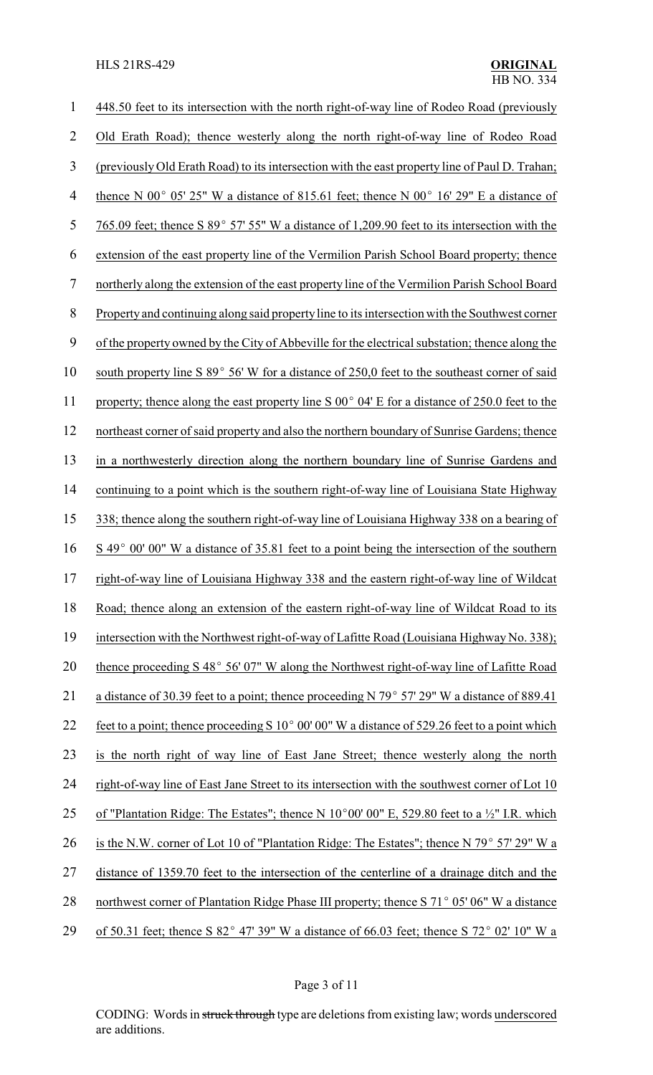| 1              | 448.50 feet to its intersection with the north right-of-way line of Rodeo Road (previously                 |
|----------------|------------------------------------------------------------------------------------------------------------|
| 2              | Old Erath Road); thence westerly along the north right-of-way line of Rodeo Road                           |
| $\mathfrak{Z}$ | (previously Old Erath Road) to its intersection with the east property line of Paul D. Trahan;             |
| 4              | thence N 00 $^{\circ}$ 05' 25" W a distance of 815.61 feet; thence N 00 $^{\circ}$ 16' 29" E a distance of |
| 5              | 765.09 feet; thence S 89 $^{\circ}$ 57' 55" W a distance of 1,209.90 feet to its intersection with the     |
| 6              | extension of the east property line of the Vermilion Parish School Board property; thence                  |
| 7              | northerly along the extension of the east property line of the Vermilion Parish School Board               |
| 8              | Property and continuing along said property line to its intersection with the Southwest corner             |
| 9              | of the property owned by the City of Abbeville for the electrical substation; thence along the             |
| 10             | south property line S 89° 56' W for a distance of 250,0 feet to the southeast corner of said               |
| 11             | property; thence along the east property line S $00^{\circ}$ 04' E for a distance of 250.0 feet to the     |
| 12             | northeast corner of said property and also the northern boundary of Sunrise Gardens; thence                |
| 13             | in a northwesterly direction along the northern boundary line of Sunrise Gardens and                       |
| 14             | continuing to a point which is the southern right-of-way line of Louisiana State Highway                   |
| 15             | 338; thence along the southern right-of-way line of Louisiana Highway 338 on a bearing of                  |
| 16             | S 49° 00' 00" W a distance of 35.81 feet to a point being the intersection of the southern                 |
| 17             | right-of-way line of Louisiana Highway 338 and the eastern right-of-way line of Wildcat                    |
| 18             | Road; thence along an extension of the eastern right-of-way line of Wildcat Road to its                    |
| 19             | intersection with the Northwest right-of-way of Lafitte Road (Louisiana Highway No. 338);                  |
| 20             | thence proceeding S 48° 56' 07" W along the Northwest right-of-way line of Lafitte Road                    |
| 21             | a distance of 30.39 feet to a point; thence proceeding N 79° 57' 29" W a distance of 889.41                |
| 22             | feet to a point; thence proceeding S 10° 00' 00" W a distance of 529.26 feet to a point which              |
| 23             | is the north right of way line of East Jane Street; thence westerly along the north                        |
| 24             | right-of-way line of East Jane Street to its intersection with the southwest corner of Lot 10              |
| 25             | of "Plantation Ridge: The Estates"; thence N 10°00' 00" E, 529.80 feet to a $\frac{1}{2}$ " I.R. which     |
| 26             | is the N.W. corner of Lot 10 of "Plantation Ridge: The Estates"; thence N 79° 57' 29" W a                  |
| 27             | distance of 1359.70 feet to the intersection of the centerline of a drainage ditch and the                 |
| 28             | northwest corner of Plantation Ridge Phase III property; thence S 71° 05' 06" W a distance                 |
| 29             | of 50.31 feet; thence S 82° 47′ 39″ W a distance of 66.03 feet; thence S 72° 02′ 10″ W a                   |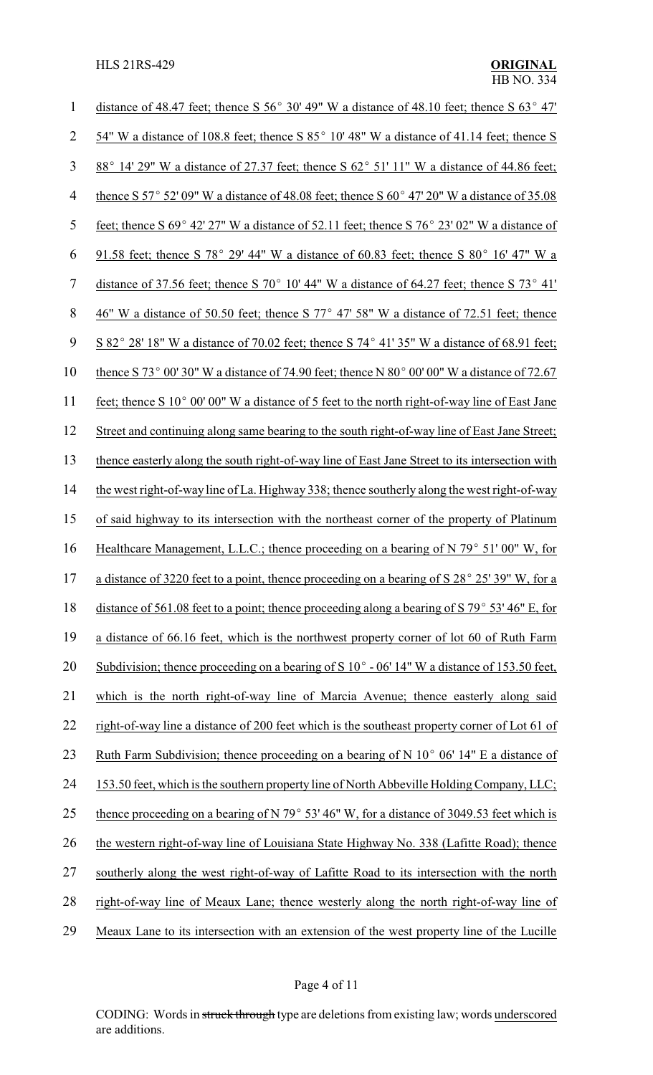| $\mathbf 1$    | distance of 48.47 feet; thence S 56° 30′ 49″ W a distance of 48.10 feet; thence S 63° 47′                        |
|----------------|------------------------------------------------------------------------------------------------------------------|
| $\overline{2}$ | 54" W a distance of 108.8 feet; thence S 85° 10' 48" W a distance of 41.14 feet; thence S                        |
| 3              | 88° 14′ 29″ W a distance of 27.37 feet; thence S 62° 51′ 11″ W a distance of 44.86 feet;                         |
| $\overline{4}$ | thence S 57° 52′ 09″ W a distance of 48.08 feet; thence S 60° 47′ 20″ W a distance of 35.08                      |
| 5              | feet; thence S $69^{\circ}$ 42' $27''$ W a distance of 52.11 feet; thence S $76^{\circ}$ 23' 02" W a distance of |
| 6              | 91.58 feet; thence S 78° 29' 44" W a distance of 60.83 feet; thence S 80° 16' 47" W a                            |
| $\tau$         | distance of 37.56 feet; thence S 70° 10′ 44″ W a distance of 64.27 feet; thence S 73° 41′                        |
| 8              | 46" W a distance of 50.50 feet; thence S 77° 47' 58" W a distance of 72.51 feet; thence                          |
| 9              | S 82° 28′ 18″ W a distance of 70.02 feet; thence S 74° 41′ 35″ W a distance of 68.91 feet;                       |
| 10             | thence S 73° 00' 30" W a distance of 74.90 feet; thence N 80° 00' 00" W a distance of 72.67                      |
| 11             | feet; thence S 10° 00' 00" W a distance of 5 feet to the north right-of-way line of East Jane                    |
| 12             | Street and continuing along same bearing to the south right-of-way line of East Jane Street;                     |
| 13             | thence easterly along the south right-of-way line of East Jane Street to its intersection with                   |
| 14             | the west right-of-way line of La. Highway 338; thence southerly along the west right-of-way                      |
| 15             | of said highway to its intersection with the northeast corner of the property of Platinum                        |
| 16             | Healthcare Management, L.L.C.; thence proceeding on a bearing of N $79^{\circ}$ 51' 00" W, for                   |
| 17             | a distance of 3220 feet to a point, thence proceeding on a bearing of S 28° 25' 39" W, for a                     |
| 18             | distance of 561.08 feet to a point; thence proceeding along a bearing of S 79 $\degree$ 53' 46" E, for           |
| 19             | a distance of 66.16 feet, which is the northwest property corner of lot 60 of Ruth Farm                          |
| 20             | Subdivision; thence proceeding on a bearing of S $10^{\circ}$ - 06' 14" W a distance of 153.50 feet,             |
| 21             | which is the north right-of-way line of Marcia Avenue; thence easterly along said                                |
| 22             | right-of-way line a distance of 200 feet which is the southeast property corner of Lot 61 of                     |
| 23             | Ruth Farm Subdivision; thence proceeding on a bearing of N $10^{\circ}$ 06' 14" E a distance of                  |
| 24             | 153.50 feet, which is the southern property line of North Abbeville Holding Company, LLC;                        |
| 25             | thence proceeding on a bearing of N 79 $\degree$ 53' 46" W, for a distance of 3049.53 feet which is              |
| 26             | the western right-of-way line of Louisiana State Highway No. 338 (Lafitte Road); thence                          |
| 27             | southerly along the west right-of-way of Lafitte Road to its intersection with the north                         |
| 28             | right-of-way line of Meaux Lane; thence westerly along the north right-of-way line of                            |
| 29             | Meaux Lane to its intersection with an extension of the west property line of the Lucille                        |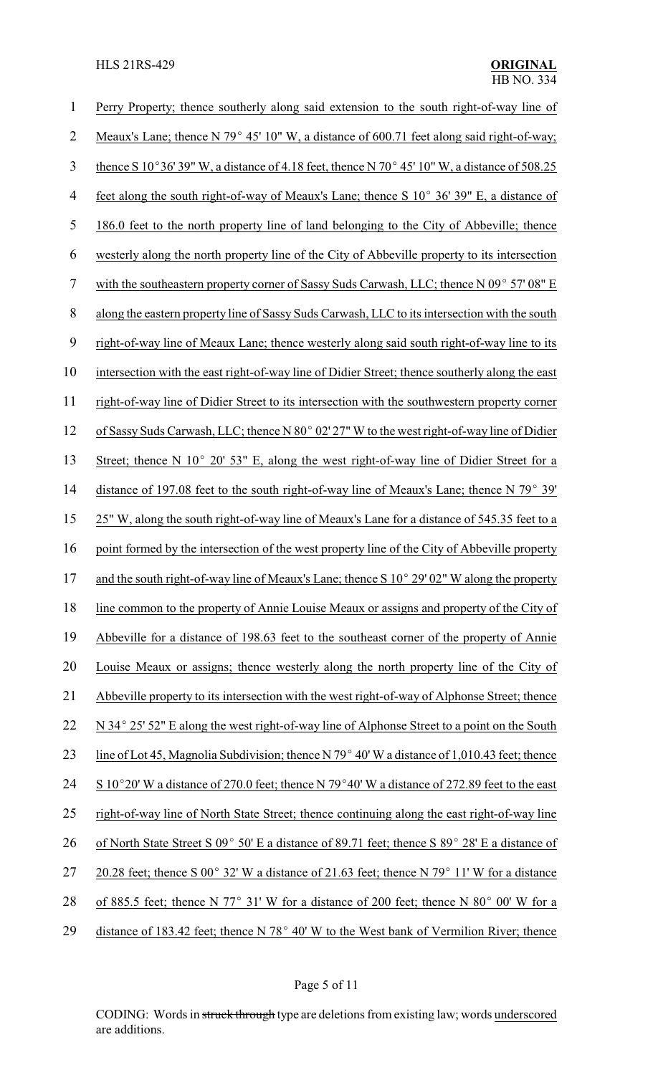| 1              | Perry Property; thence southerly along said extension to the south right-of-way line of                        |
|----------------|----------------------------------------------------------------------------------------------------------------|
| 2              | Meaux's Lane; thence N 79 $^{\circ}$ 45' 10" W, a distance of 600.71 feet along said right-of-way;             |
| 3              | thence S 10°36' 39" W, a distance of 4.18 feet, thence N 70° 45' 10" W, a distance of 508.25                   |
| $\overline{4}$ | feet along the south right-of-way of Meaux's Lane; thence S 10° 36' 39" E, a distance of                       |
| 5              | 186.0 feet to the north property line of land belonging to the City of Abbeville; thence                       |
| 6              | westerly along the north property line of the City of Abbeville property to its intersection                   |
| 7              | with the southeastern property corner of Sassy Suds Carwash, LLC; thence N 09° 57′ 08″ E                       |
| 8              | along the eastern property line of Sassy Suds Carwash, LLC to its intersection with the south                  |
| 9              | right-of-way line of Meaux Lane; thence westerly along said south right-of-way line to its                     |
| 10             | intersection with the east right-of-way line of Didier Street; thence southerly along the east                 |
| 11             | right-of-way line of Didier Street to its intersection with the southwestern property corner                   |
| 12             | of Sassy Suds Carwash, LLC; thence N 80° 02' 27" W to the west right-of-way line of Didier                     |
| 13             | Street; thence N $10^{\circ}$ 20' 53" E, along the west right-of-way line of Didier Street for a               |
| 14             | distance of 197.08 feet to the south right-of-way line of Meaux's Lane; thence N 79° 39'                       |
| 15             | 25" W, along the south right-of-way line of Meaux's Lane for a distance of 545.35 feet to a                    |
| 16             | point formed by the intersection of the west property line of the City of Abbeville property                   |
| 17             | and the south right-of-way line of Meaux's Lane; thence S 10° 29' 02" W along the property                     |
| 18             | line common to the property of Annie Louise Meaux or assigns and property of the City of                       |
| 19             | Abbeville for a distance of 198.63 feet to the southeast corner of the property of Annie                       |
| 20             | Louise Meaux or assigns; thence westerly along the north property line of the City of                          |
| 21             | Abbeville property to its intersection with the west right-of-way of Alphonse Street; thence                   |
| 22             | N 34° 25′ 52″ E along the west right-of-way line of Alphonse Street to a point on the South                    |
| 23             | line of Lot 45, Magnolia Subdivision; thence N 79 $^{\circ}$ 40' W a distance of 1,010.43 feet; thence         |
| 24             | S 10°20' W a distance of 270.0 feet; thence N 79°40' W a distance of 272.89 feet to the east                   |
| 25             | right-of-way line of North State Street; thence continuing along the east right-of-way line                    |
| 26             | of North State Street S 09° 50' E a distance of 89.71 feet; thence S 89° 28' E a distance of                   |
| 27             | 20.28 feet; thence S 00 $^{\circ}$ 32' W a distance of 21.63 feet; thence N 79 $^{\circ}$ 11' W for a distance |
| 28             | of 885.5 feet; thence N 77° 31' W for a distance of 200 feet; thence N 80° 00' W for a                         |
| 29             | distance of 183.42 feet; thence N 78° 40' W to the West bank of Vermilion River; thence                        |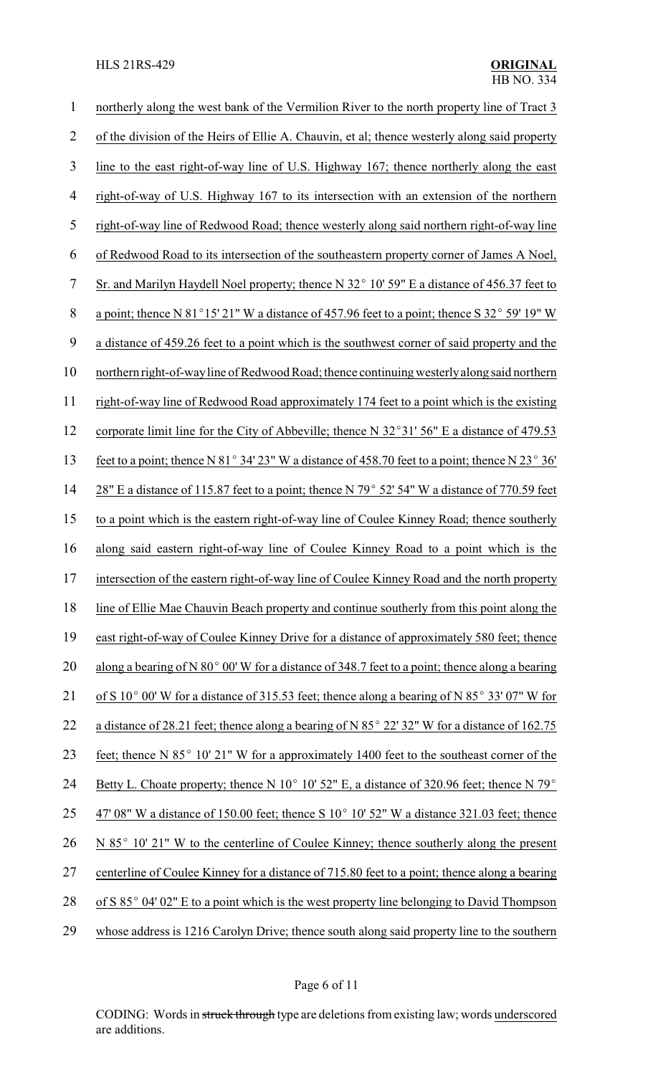| 1              | northerly along the west bank of the Vermilion River to the north property line of Tract 3                      |
|----------------|-----------------------------------------------------------------------------------------------------------------|
| $\overline{2}$ | of the division of the Heirs of Ellie A. Chauvin, et al; thence westerly along said property                    |
| 3              | line to the east right-of-way line of U.S. Highway 167; thence northerly along the east                         |
| $\overline{4}$ | right-of-way of U.S. Highway 167 to its intersection with an extension of the northern                          |
| 5              | right-of-way line of Redwood Road; thence westerly along said northern right-of-way line                        |
| 6              | of Redwood Road to its intersection of the southeastern property corner of James A Noel,                        |
| $\overline{7}$ | Sr. and Marilyn Haydell Noel property; thence N 32° 10' 59" E a distance of 456.37 feet to                      |
| 8              | a point; thence N 81°15' 21" W a distance of 457.96 feet to a point; thence S 32° 59' 19" W                     |
| 9              | a distance of 459.26 feet to a point which is the southwest corner of said property and the                     |
| 10             | northern right-of-way line of Redwood Road; thence continuing westerly along said northern                      |
| 11             | right-of-way line of Redwood Road approximately 174 feet to a point which is the existing                       |
| 12             | corporate limit line for the City of Abbeville; thence N 32°31' 56" E a distance of 479.53                      |
| 13             | feet to a point; thence N 81° 34′ 23″ W a distance of 458.70 feet to a point; thence N 23° 36′                  |
| 14             | 28" E a distance of 115.87 feet to a point; thence N 79° 52' 54" W a distance of 770.59 feet                    |
| 15             | to a point which is the eastern right-of-way line of Coulee Kinney Road; thence southerly                       |
| 16             | along said eastern right-of-way line of Coulee Kinney Road to a point which is the                              |
| 17             | intersection of the eastern right-of-way line of Coulee Kinney Road and the north property                      |
| 18             | line of Ellie Mae Chauvin Beach property and continue southerly from this point along the                       |
| 19             | east right-of-way of Coulee Kinney Drive for a distance of approximately 580 feet; thence                       |
| 20             | along a bearing of N $80^{\circ}$ 00' W for a distance of 348.7 feet to a point; thence along a bearing         |
| 21             | of S 10 $^{\circ}$ 00' W for a distance of 315.53 feet; thence along a bearing of N 85 $^{\circ}$ 33' 07" W for |
| 22             | a distance of 28.21 feet; thence along a bearing of N $85^{\circ}$ 22' 32" W for a distance of 162.75           |
| 23             | feet; thence N 85° 10' 21" W for a approximately 1400 feet to the southeast corner of the                       |
| 24             | Betty L. Choate property; thence N 10 $^{\circ}$ 10' 52" E, a distance of 320.96 feet; thence N 79 $^{\circ}$   |
| 25             | $47'$ 08" W a distance of 150.00 feet; thence S 10 $^{\circ}$ 10' 52" W a distance 321.03 feet; thence          |
| 26             | N 85° 10′ 21″ W to the centerline of Coulee Kinney; thence southerly along the present                          |
| 27             | centerline of Coulee Kinney for a distance of 715.80 feet to a point; thence along a bearing                    |
| 28             | of S 85° 04′ 02″ E to a point which is the west property line belonging to David Thompson                       |
| 29             | whose address is 1216 Carolyn Drive; thence south along said property line to the southern                      |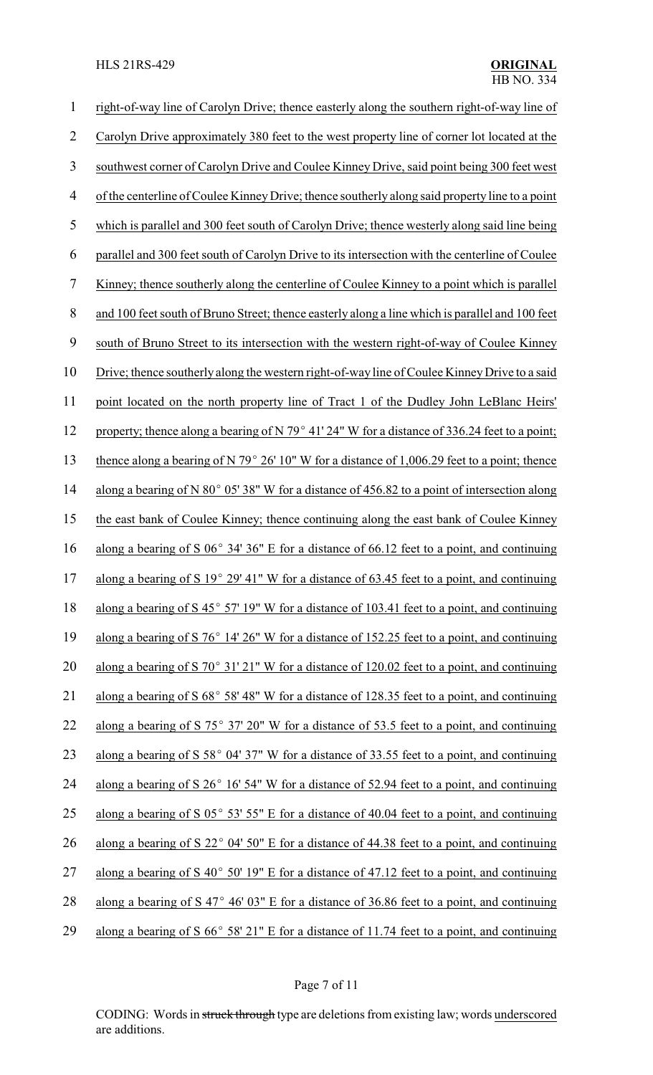| $\mathbf 1$ | right-of-way line of Carolyn Drive; thence easterly along the southern right-of-way line of             |
|-------------|---------------------------------------------------------------------------------------------------------|
| 2           | Carolyn Drive approximately 380 feet to the west property line of corner lot located at the             |
| 3           | southwest corner of Carolyn Drive and Coulee Kinney Drive, said point being 300 feet west               |
| 4           | of the centerline of Coulee Kinney Drive; thence southerly along said property line to a point          |
| 5           | which is parallel and 300 feet south of Carolyn Drive; thence westerly along said line being            |
| 6           | parallel and 300 feet south of Carolyn Drive to its intersection with the centerline of Coulee          |
| 7           | Kinney; thence southerly along the centerline of Coulee Kinney to a point which is parallel             |
| 8           | and 100 feet south of Bruno Street; thence easterly along a line which is parallel and 100 feet         |
| 9           | south of Bruno Street to its intersection with the western right-of-way of Coulee Kinney                |
| 10          | Drive; thence southerly along the western right-of-way line of Coulee Kinney Drive to a said            |
| 11          | point located on the north property line of Tract 1 of the Dudley John LeBlanc Heirs'                   |
| 12          | property; thence along a bearing of N 79° 41' 24" W for a distance of 336.24 feet to a point;           |
| 13          | thence along a bearing of N 79 $^{\circ}$ 26' 10" W for a distance of 1,006.29 feet to a point; thence  |
| 14          | along a bearing of N $80^{\circ}$ 05' 38" W for a distance of 456.82 to a point of intersection along   |
| 15          | the east bank of Coulee Kinney; thence continuing along the east bank of Coulee Kinney                  |
| 16          | along a bearing of S $06^{\circ}$ 34' 36" E for a distance of 66.12 feet to a point, and continuing     |
| 17          | along a bearing of S 19 $^{\circ}$ 29' 41" W for a distance of 63.45 feet to a point, and continuing    |
| 18          | along a bearing of $S$ 45 $^{\circ}$ 57' 19" W for a distance of 103.41 feet to a point, and continuing |
| 19          | along a bearing of S $76^{\circ}$ 14' 26" W for a distance of 152.25 feet to a point, and continuing    |
| 20          | along a bearing of S 70 $^{\circ}$ 31' 21" W for a distance of 120.02 feet to a point, and continuing   |
| 21          | along a bearing of $S\ 68^{\circ}$ 58' 48" W for a distance of 128.35 feet to a point, and continuing   |
| 22          | along a bearing of S $75^{\circ}$ 37' 20" W for a distance of 53.5 feet to a point, and continuing      |
| 23          | along a bearing of S 58° 04′ 37″ W for a distance of 33.55 feet to a point, and continuing              |
| 24          | along a bearing of S 26° 16′ 54″ W for a distance of 52.94 feet to a point, and continuing              |
| 25          | along a bearing of S $05^{\circ}$ 53' 55" E for a distance of 40.04 feet to a point, and continuing     |
| 26          | along a bearing of S 22° 04' 50" E for a distance of 44.38 feet to a point, and continuing              |
| 27          | along a bearing of S $40^{\circ}$ 50' 19" E for a distance of 47.12 feet to a point, and continuing     |
| 28          | along a bearing of S $47^{\circ}$ 46' 03" E for a distance of 36.86 feet to a point, and continuing     |
| 29          | along a bearing of S $66^{\circ}$ 58' 21" E for a distance of 11.74 feet to a point, and continuing     |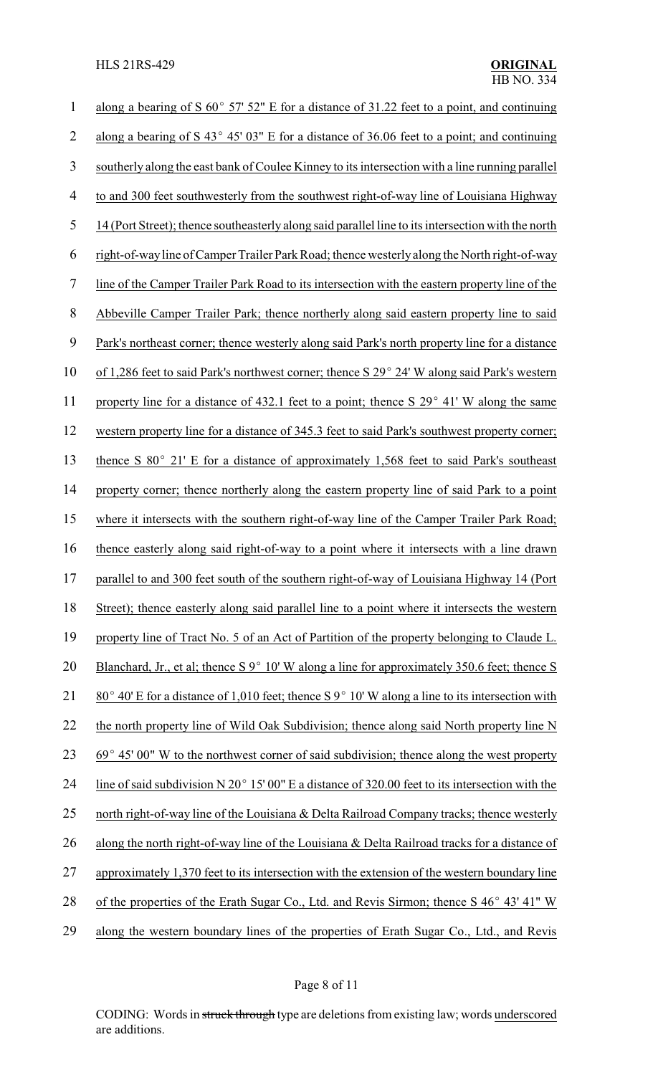| $\mathbf{1}$   | along a bearing of S $60^{\circ}$ 57' 52" E for a distance of 31.22 feet to a point, and continuing               |
|----------------|-------------------------------------------------------------------------------------------------------------------|
| $\overline{2}$ | along a bearing of S 43 $^{\circ}$ 45' 03" E for a distance of 36.06 feet to a point; and continuing              |
| 3              | southerly along the east bank of Coulee Kinney to its intersection with a line running parallel                   |
| $\overline{4}$ | to and 300 feet southwesterly from the southwest right-of-way line of Louisiana Highway                           |
| 5              | 14 (Port Street); thence southeasterly along said parallel line to its intersection with the north                |
| 6              | right-of-way line of Camper Trailer Park Road; thence westerly along the North right-of-way                       |
| $\overline{7}$ | line of the Camper Trailer Park Road to its intersection with the eastern property line of the                    |
| $8\,$          | Abbeville Camper Trailer Park; thence northerly along said eastern property line to said                          |
| 9              | Park's northeast corner; thence westerly along said Park's north property line for a distance                     |
| 10             | of 1,286 feet to said Park's northwest corner; thence S 29° 24' W along said Park's western                       |
| 11             | property line for a distance of 432.1 feet to a point; thence S 29° 41' W along the same                          |
| 12             | western property line for a distance of 345.3 feet to said Park's southwest property corner;                      |
| 13             | thence S 80° 21' E for a distance of approximately 1,568 feet to said Park's southeast                            |
| 14             | property corner; thence northerly along the eastern property line of said Park to a point                         |
| 15             | where it intersects with the southern right-of-way line of the Camper Trailer Park Road;                          |
| 16             | thence easterly along said right-of-way to a point where it intersects with a line drawn                          |
| 17             | parallel to and 300 feet south of the southern right-of-way of Louisiana Highway 14 (Port                         |
| 18             | Street); thence easterly along said parallel line to a point where it intersects the western                      |
| 19             | property line of Tract No. 5 of an Act of Partition of the property belonging to Claude L.                        |
| 20             | Blanchard, Jr., et al; thence $S9^{\circ}10'$ W along a line for approximately 350.6 feet; thence S               |
| 21             | $80^{\circ}$ 40' E for a distance of 1,010 feet; thence S $9^{\circ}$ 10' W along a line to its intersection with |
| 22             | the north property line of Wild Oak Subdivision; thence along said North property line N                          |
| 23             | $69^{\circ}$ 45' 00" W to the northwest corner of said subdivision; thence along the west property                |
| 24             | line of said subdivision N $20^{\circ}$ 15' 00" E a distance of 320.00 feet to its intersection with the          |
| 25             | north right-of-way line of the Louisiana & Delta Railroad Company tracks; thence westerly                         |
| 26             | along the north right-of-way line of the Louisiana & Delta Railroad tracks for a distance of                      |
| 27             | approximately 1,370 feet to its intersection with the extension of the western boundary line                      |
| 28             | of the properties of the Erath Sugar Co., Ltd. and Revis Sirmon; thence S 46° 43' 41" W                           |
| 29             | along the western boundary lines of the properties of Erath Sugar Co., Ltd., and Revis                            |

Page 8 of 11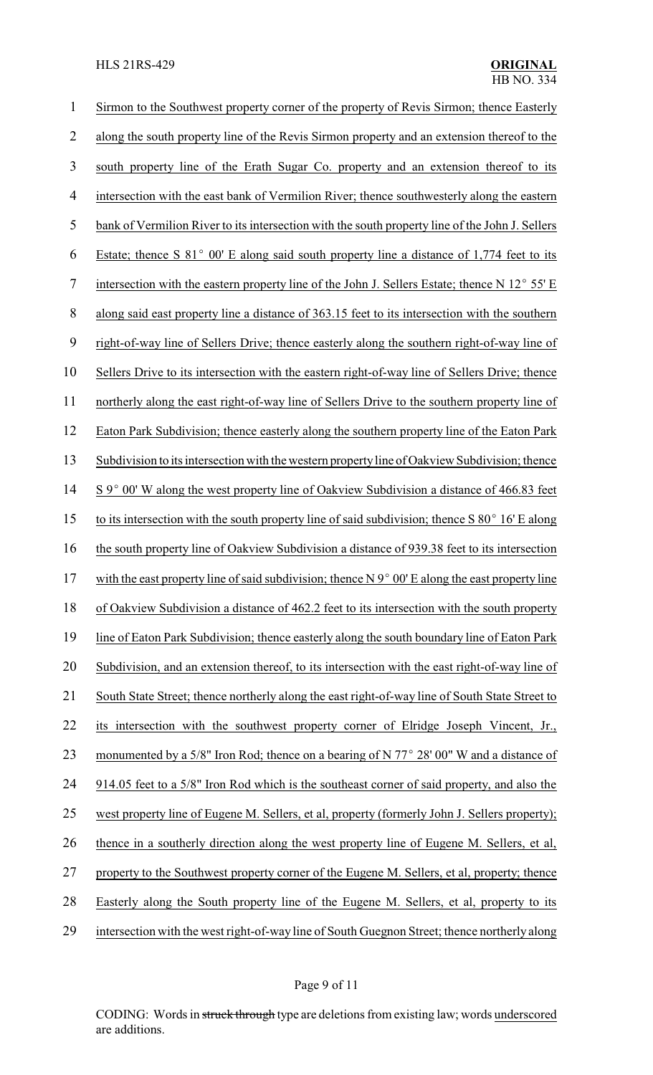| 1  | Sirmon to the Southwest property corner of the property of Revis Sirmon; thence Easterly                 |
|----|----------------------------------------------------------------------------------------------------------|
| 2  | along the south property line of the Revis Sirmon property and an extension thereof to the               |
| 3  | south property line of the Erath Sugar Co. property and an extension thereof to its                      |
| 4  | intersection with the east bank of Vermilion River; thence southwesterly along the eastern               |
| 5  | bank of Vermilion River to its intersection with the south property line of the John J. Sellers          |
| 6  | Estate; thence S $81^{\circ}$ 00' E along said south property line a distance of 1,774 feet to its       |
| 7  | intersection with the eastern property line of the John J. Sellers Estate; thence N $12^{\circ}$ 55' E   |
| 8  | along said east property line a distance of 363.15 feet to its intersection with the southern            |
| 9  | right-of-way line of Sellers Drive; thence easterly along the southern right-of-way line of              |
| 10 | Sellers Drive to its intersection with the eastern right-of-way line of Sellers Drive; thence            |
| 11 | northerly along the east right-of-way line of Sellers Drive to the southern property line of             |
| 12 | Eaton Park Subdivision; thence easterly along the southern property line of the Eaton Park               |
| 13 | Subdivision to its intersection with the western property line of Oakview Subdivision; thence            |
| 14 | S 9° 00' W along the west property line of Oakview Subdivision a distance of 466.83 feet                 |
| 15 | to its intersection with the south property line of said subdivision; thence $S 80^{\circ} 16' E$ along  |
| 16 | the south property line of Oakview Subdivision a distance of 939.38 feet to its intersection             |
| 17 | with the east property line of said subdivision; thence $N 9^{\circ} 00' E$ along the east property line |
| 18 | of Oakview Subdivision a distance of 462.2 feet to its intersection with the south property              |
| 19 | line of Eaton Park Subdivision; thence easterly along the south boundary line of Eaton Park              |
| 20 | Subdivision, and an extension thereof, to its intersection with the east right-of-way line of            |
| 21 | South State Street; thence northerly along the east right-of-way line of South State Street to           |
| 22 | its intersection with the southwest property corner of Elridge Joseph Vincent, Jr.,                      |
| 23 | monumented by a 5/8" Iron Rod; thence on a bearing of N $77^{\circ}$ 28' 00" W and a distance of         |
| 24 | 914.05 feet to a 5/8" Iron Rod which is the southeast corner of said property, and also the              |
| 25 | west property line of Eugene M. Sellers, et al, property (formerly John J. Sellers property);            |
| 26 | thence in a southerly direction along the west property line of Eugene M. Sellers, et al,                |
| 27 | property to the Southwest property corner of the Eugene M. Sellers, et al, property; thence              |
| 28 | Easterly along the South property line of the Eugene M. Sellers, et al, property to its                  |
| 29 | intersection with the west right-of-way line of South Guegnon Street; thence northerly along             |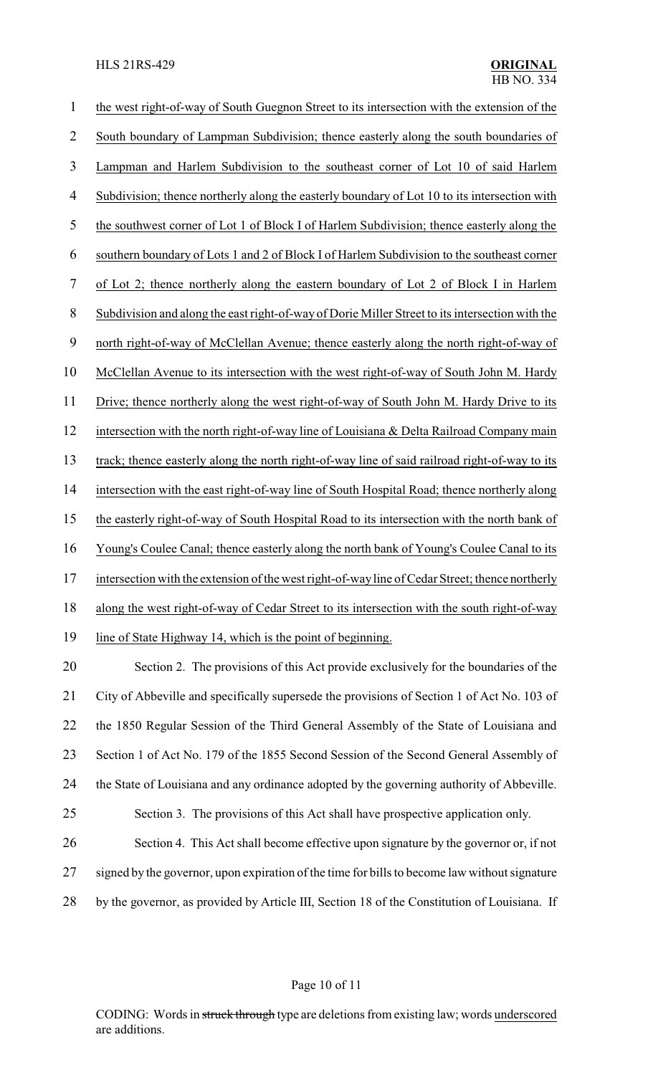#### HLS 21RS-429 **ORIGINAL**

| $\mathbf 1$ | the west right-of-way of South Guegnon Street to its intersection with the extension of the     |
|-------------|-------------------------------------------------------------------------------------------------|
| 2           | South boundary of Lampman Subdivision; thence easterly along the south boundaries of            |
| 3           | Lampman and Harlem Subdivision to the southeast corner of Lot 10 of said Harlem                 |
| 4           | Subdivision; thence northerly along the easterly boundary of Lot 10 to its intersection with    |
| 5           | the southwest corner of Lot 1 of Block I of Harlem Subdivision; thence easterly along the       |
| 6           | southern boundary of Lots 1 and 2 of Block I of Harlem Subdivision to the southeast corner      |
| $\tau$      | of Lot 2; thence northerly along the eastern boundary of Lot 2 of Block I in Harlem             |
| 8           | Subdivision and along the east right-of-way of Dorie Miller Street to its intersection with the |
| 9           | north right-of-way of McClellan Avenue; thence easterly along the north right-of-way of         |
| 10          | McClellan Avenue to its intersection with the west right-of-way of South John M. Hardy          |
| 11          | Drive; thence northerly along the west right-of-way of South John M. Hardy Drive to its         |
| 12          | intersection with the north right-of-way line of Louisiana & Delta Railroad Company main        |
| 13          | track; thence easterly along the north right-of-way line of said railroad right-of-way to its   |
| 14          | intersection with the east right-of-way line of South Hospital Road; thence northerly along     |
| 15          | the easterly right-of-way of South Hospital Road to its intersection with the north bank of     |
| 16          | Young's Coulee Canal; thence easterly along the north bank of Young's Coulee Canal to its       |
| 17          | intersection with the extension of the west right-of-way line of Cedar Street; thence northerly |
| 18          | along the west right-of-way of Cedar Street to its intersection with the south right-of-way     |
| 19          | line of State Highway 14, which is the point of beginning.                                      |
| 20          | Section 2. The provisions of this Act provide exclusively for the boundaries of the             |
| 21          | City of Abbeville and specifically supersede the provisions of Section 1 of Act No. 103 of      |
| 22          | the 1850 Regular Session of the Third General Assembly of the State of Louisiana and            |
| 23          | Section 1 of Act No. 179 of the 1855 Second Session of the Second General Assembly of           |
|             |                                                                                                 |

the State of Louisiana and any ordinance adopted by the governing authority of Abbeville.

# Section 3. The provisions of this Act shall have prospective application only.

 Section 4. This Act shall become effective upon signature by the governor or, if not 27 signed by the governor, upon expiration of the time for bills to become law without signature by the governor, as provided by Article III, Section 18 of the Constitution of Louisiana. If

Page 10 of 11